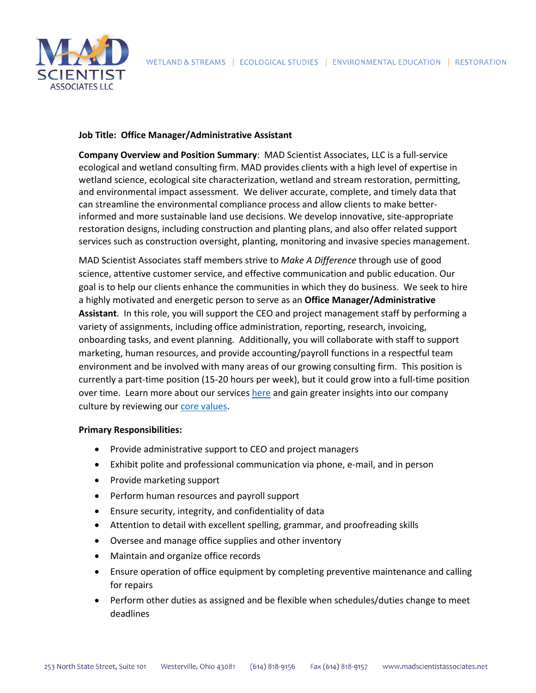

# **Job Title: Office Manager/Administrative Assistant**

**Company Overview and Position Summary**: MAD Scientist Associates, LLC is a full‐service ecological and wetland consulting firm. MAD provides clients with a high level of expertise in wetland science, ecological site characterization, wetland and stream restoration, permitting, and environmental impact assessment. We deliver accurate, complete, and timely data that can streamline the environmental compliance process and allow clients to make better‐ informed and more sustainable land use decisions. We develop innovative, site-appropriate restoration designs, including construction and planting plans, and also offer related support services such as construction oversight, planting, monitoring and invasive species management.

MAD Scientist Associates staff members strive to *Make A Difference* through use of good science, attentive customer service, and effective communication and public education. Our goal is to help our clients enhance the communities in which they do business. We seek to hire a highly motivated and energetic person to serve as an **Office Manager/Administrative Assistant**. In this role, you will support the CEO and project management staff by performing a variety of assignments, including office administration, reporting, research, invoicing, onboarding tasks, and event planning. Additionally, you will collaborate with staff to support marketing, human resources, and provide accounting/payroll functions in a respectful team environment and be involved with many areas of our growing consulting firm. This position is currently a part‐time position (15‐20 hours per week), but it could grow into a full‐time position over time. Learn more about our services here and gain greater insights into our company culture by reviewing our core values.

# **Primary Responsibilities:**

- Provide administrative support to CEO and project managers
- Exhibit polite and professional communication via phone, e-mail, and in person
- Provide marketing support
- Perform human resources and payroll support
- Ensure security, integrity, and confidentiality of data
- Attention to detail with excellent spelling, grammar, and proofreading skills
- Oversee and manage office supplies and other inventory
- Maintain and organize office records
- Ensure operation of office equipment by completing preventive maintenance and calling for repairs
- Perform other duties as assigned and be flexible when schedules/duties change to meet deadlines